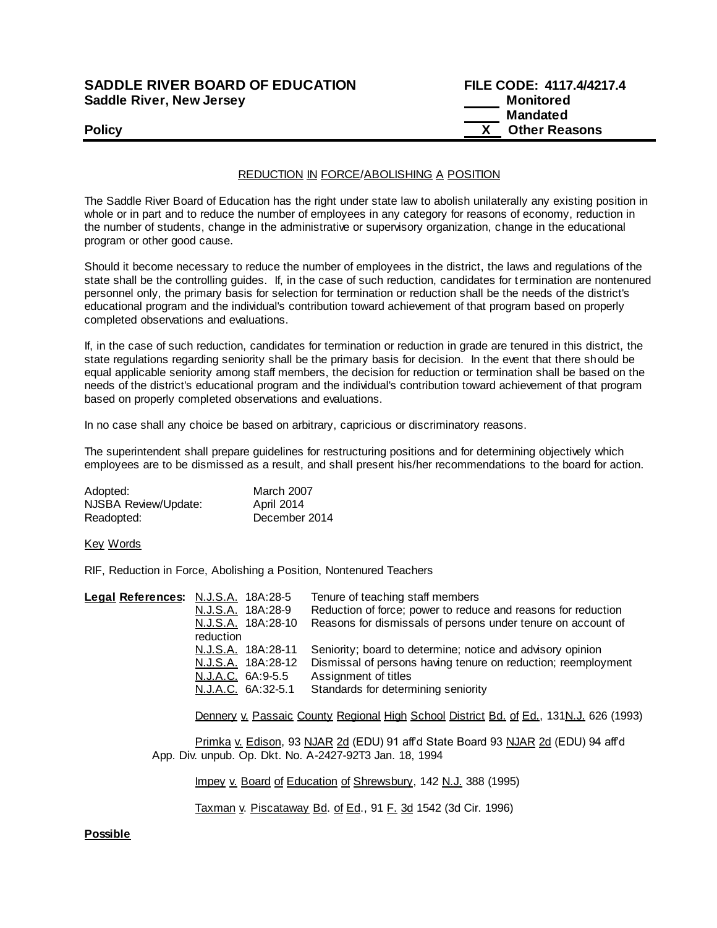## **SADDLE RIVER BOARD OF EDUCATION Saddle River, New Jersey**

| <b>SADDLE RIVER BOARD OF EDUCATION</b> | FILE CODE: 4117.4/4217.4 |
|----------------------------------------|--------------------------|
| <b>Saddle River, New Jersey</b>        | Monitored                |
|                                        | Mandated                 |
| <b>Policy</b>                          | <b>Other Reasons</b>     |

### REDUCTION IN FORCE/ABOLISHING A POSITION

The Saddle River Board of Education has the right under state law to abolish unilaterally any existing position in whole or in part and to reduce the number of employees in any category for reasons of economy, reduction in the number of students, change in the administrative or supervisory organization, change in the educational program or other good cause.

Should it become necessary to reduce the number of employees in the district, the laws and regulations of the state shall be the controlling guides. If, in the case of such reduction, candidates for termination are nontenured personnel only, the primary basis for selection for termination or reduction shall be the needs of the district's educational program and the individual's contribution toward achievement of that program based on properly completed observations and evaluations.

If, in the case of such reduction, candidates for termination or reduction in grade are tenured in this district, the state regulations regarding seniority shall be the primary basis for decision. In the event that there should be equal applicable seniority among staff members, the decision for reduction or termination shall be based on the needs of the district's educational program and the individual's contribution toward achievement of that program based on properly completed observations and evaluations.

In no case shall any choice be based on arbitrary, capricious or discriminatory reasons.

The superintendent shall prepare guidelines for restructuring positions and for determining objectively which employees are to be dismissed as a result, and shall present his/her recommendations to the board for action.

| Adopted:             | <b>March 2007</b> |
|----------------------|-------------------|
| NJSBA Review/Update: | April 2014        |
| Readopted:           | December 2014     |

Key Words

RIF, Reduction in Force, Abolishing a Position, Nontenured Teachers

| Legal References: N.J.S.A. 18A:28-5 |                    | Tenure of teaching staff members                              |
|-------------------------------------|--------------------|---------------------------------------------------------------|
|                                     | N.J.S.A. 18A:28-9  | Reduction of force; power to reduce and reasons for reduction |
|                                     | N.J.S.A. 18A:28-10 | Reasons for dismissals of persons under tenure on account of  |
|                                     | reduction          |                                                               |
|                                     | N.J.S.A. 18A:28-11 | Seniority; board to determine; notice and advisory opinion    |
|                                     | N.J.S.A. 18A:28-12 | Dismissal of persons having tenure on reduction; reemployment |
|                                     | N.J.A.C. 6A:9-5.5  | Assignment of titles                                          |
|                                     | N.J.A.C. 6A:32-5.1 | Standards for determining seniority                           |

Dennery v. Passaic County Regional High School District Bd. of Ed., 131N.J. 626 (1993)

Primka v. Edison, 93 NJAR 2d (EDU) 91 affd State Board 93 NJAR 2d (EDU) 94 affd App. Div. unpub. Op. Dkt. No. A-2427-92T3 Jan. 18, 1994

Impey v. Board of Education of Shrewsbury, 142 N.J. 388 (1995)

Taxman v. Piscataway Bd. of Ed., 91 F. 3d 1542 (3d Cir. 1996)

#### **Possible**